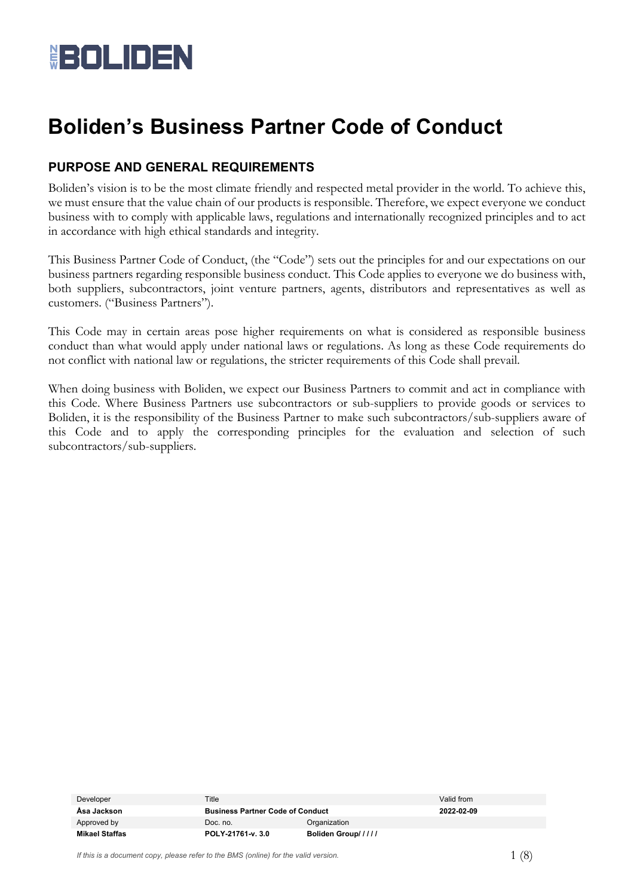

## **Boliden's Business Partner Code of Conduct**

#### **PURPOSE AND GENERAL REQUIREMENTS**

Boliden's vision is to be the most climate friendly and respected metal provider in the world. To achieve this, we must ensure that the value chain of our products is responsible. Therefore, we expect everyone we conduct business with to comply with applicable laws, regulations and internationally recognized principles and to act in accordance with high ethical standards and integrity.

This Business Partner Code of Conduct, (the "Code") sets out the principles for and our expectations on our business partners regarding responsible business conduct. This Code applies to everyone we do business with, both suppliers, subcontractors, joint venture partners, agents, distributors and representatives as well as customers. ("Business Partners").

This Code may in certain areas pose higher requirements on what is considered as responsible business conduct than what would apply under national laws or regulations. As long as these Code requirements do not conflict with national law or regulations, the stricter requirements of this Code shall prevail.

When doing business with Boliden, we expect our Business Partners to commit and act in compliance with this Code. Where Business Partners use subcontractors or sub-suppliers to provide goods or services to Boliden, it is the responsibility of the Business Partner to make such subcontractors/sub-suppliers aware of this Code and to apply the corresponding principles for the evaluation and selection of such subcontractors/sub-suppliers.

| Developer      | Title                                   |                    | Valid from |
|----------------|-----------------------------------------|--------------------|------------|
| Åsa Jackson    | <b>Business Partner Code of Conduct</b> |                    | 2022-02-09 |
| Approved by    | Organization<br>Doc. no.                |                    |            |
| Mikael Staffas | POLY-21761-v. 3.0                       | Boliden Group///// |            |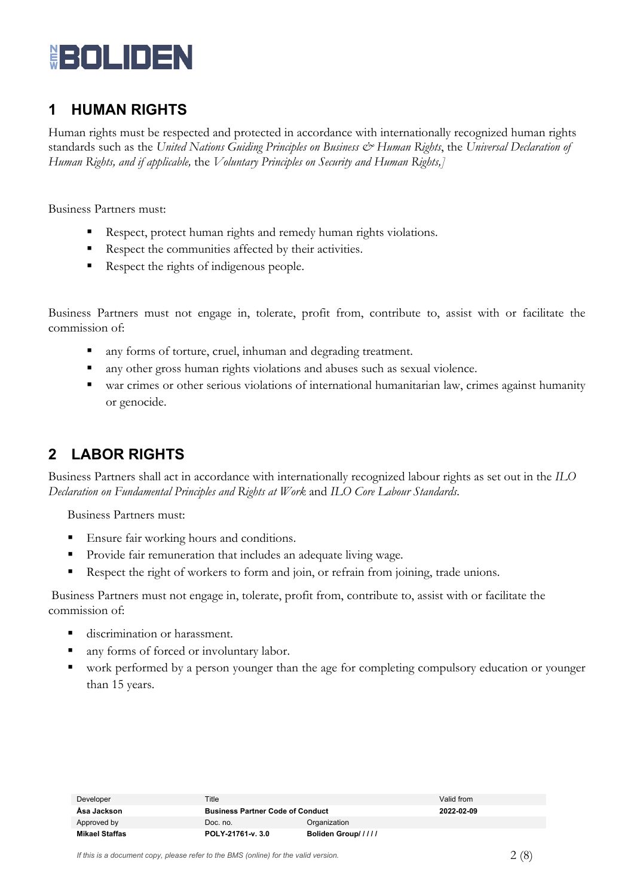

### **1 HUMAN RIGHTS**

Human rights must be respected and protected in accordance with internationally recognized human rights standards such as the *United Nations Guiding Principles on Business & Human Rights*, the *Universal Declaration of Human Rights, and if applicable,* the *Voluntary Principles on Security and Human Rights,]*

Business Partners must:

- Respect, protect human rights and remedy human rights violations.
- Respect the communities affected by their activities.
- Respect the rights of indigenous people.

Business Partners must not engage in, tolerate, profit from, contribute to, assist with or facilitate the commission of:

- any forms of torture, cruel, inhuman and degrading treatment.
- any other gross human rights violations and abuses such as sexual violence.
- war crimes or other serious violations of international humanitarian law, crimes against humanity or genocide.

### **2 LABOR RIGHTS**

Business Partners shall act in accordance with internationally recognized labour rights as set out in the *ILO Declaration on Fundamental Principles and Rights at Work* and *ILO Core Labour Standards*.

Business Partners must:

- Ensure fair working hours and conditions.
- **Provide fair remuneration that includes an adequate living wage.**
- Respect the right of workers to form and join, or refrain from joining, trade unions.

Business Partners must not engage in, tolerate, profit from, contribute to, assist with or facilitate the commission of:

- discrimination or harassment.
- any forms of forced or involuntary labor.
- work performed by a person younger than the age for completing compulsory education or younger than 15 years.

| Developer             | Title                                   |                    | Valid from |
|-----------------------|-----------------------------------------|--------------------|------------|
| Åsa Jackson           | <b>Business Partner Code of Conduct</b> |                    | 2022-02-09 |
| Approved by           | Organization<br>Doc. no.                |                    |            |
| <b>Mikael Staffas</b> | POLY-21761-v. 3.0                       | Boliden Group///// |            |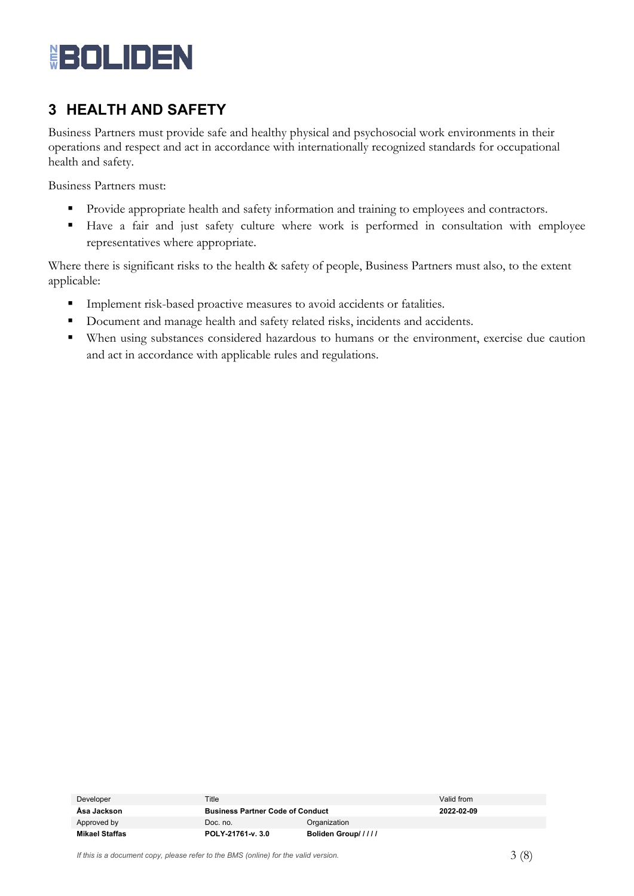# **BOLIDEN**

## **3 HEALTH AND SAFETY**

Business Partners must provide safe and healthy physical and psychosocial work environments in their operations and respect and act in accordance with internationally recognized standards for occupational health and safety.

Business Partners must:

- Provide appropriate health and safety information and training to employees and contractors.
- Have a fair and just safety culture where work is performed in consultation with employee representatives where appropriate.

Where there is significant risks to the health & safety of people, Business Partners must also, to the extent applicable:

- **Implement risk-based proactive measures to avoid accidents or fatalities.**
- Document and manage health and safety related risks, incidents and accidents.
- When using substances considered hazardous to humans or the environment, exercise due caution and act in accordance with applicable rules and regulations.

| Developer             | Title                                   |                    | Valid from |
|-----------------------|-----------------------------------------|--------------------|------------|
| Åsa Jackson           | <b>Business Partner Code of Conduct</b> |                    | 2022-02-09 |
| Approved by           | Doc. no.                                | Organization       |            |
| <b>Mikael Staffas</b> | POLY-21761-v. 3.0                       | Boliden Group///// |            |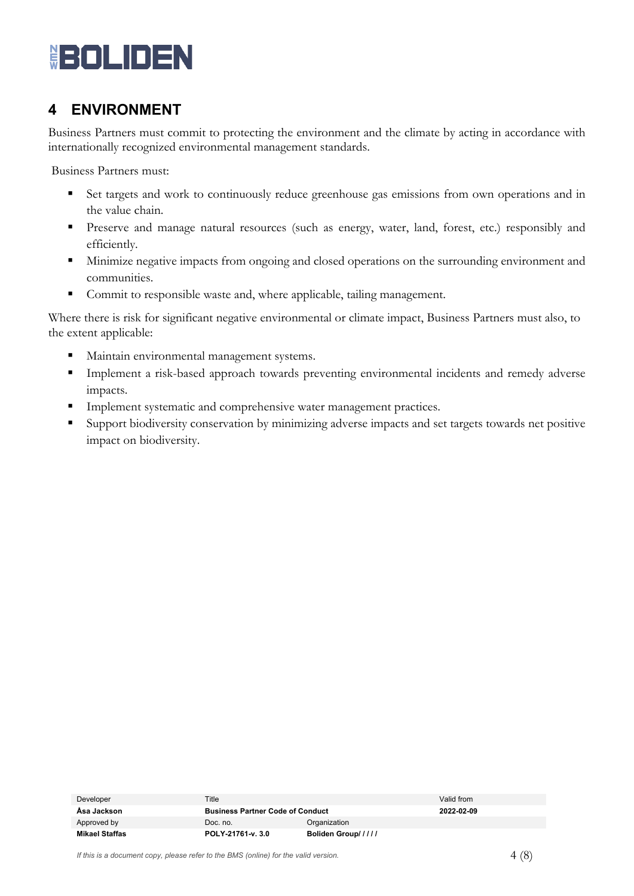

### **4 ENVIRONMENT**

Business Partners must commit to protecting the environment and the climate by acting in accordance with internationally recognized environmental management standards.

Business Partners must:

- Set targets and work to continuously reduce greenhouse gas emissions from own operations and in the value chain.
- **Preserve and manage natural resources (such as energy, water, land, forest, etc.) responsibly and** efficiently.
- **Minimize negative impacts from ongoing and closed operations on the surrounding environment and** communities.
- Commit to responsible waste and, where applicable, tailing management.

Where there is risk for significant negative environmental or climate impact, Business Partners must also, to the extent applicable:

- Maintain environmental management systems.
- Implement a risk-based approach towards preventing environmental incidents and remedy adverse impacts.
- **Implement systematic and comprehensive water management practices.**
- Support biodiversity conservation by minimizing adverse impacts and set targets towards net positive impact on biodiversity.

| Developer      | Title                                   |                    | Valid from |
|----------------|-----------------------------------------|--------------------|------------|
| Åsa Jackson    | <b>Business Partner Code of Conduct</b> |                    | 2022-02-09 |
| Approved by    | Doc. no.                                | Organization       |            |
| Mikael Staffas | POLY-21761-v. 3.0                       | Boliden Group///// |            |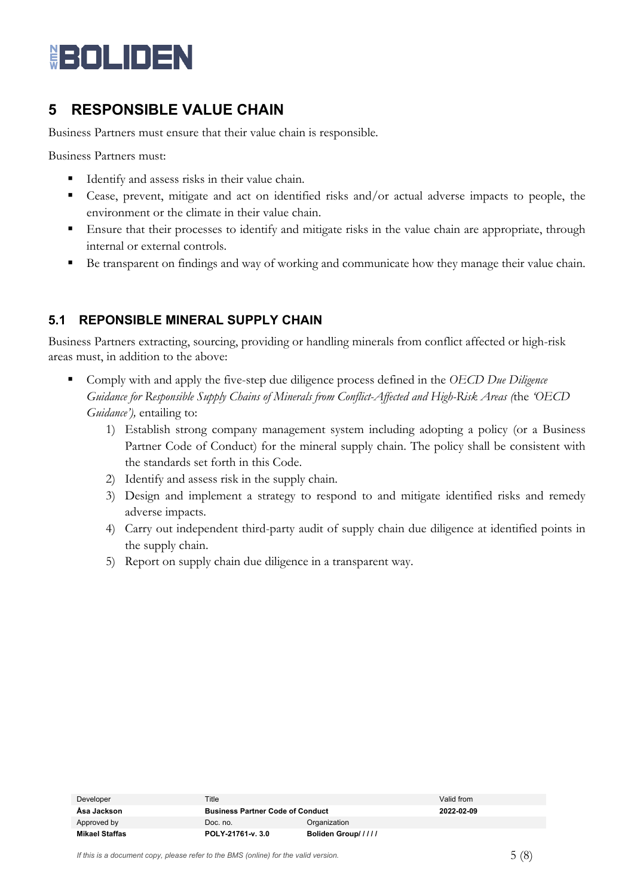## **HOLIDEN**

## **5 RESPONSIBLE VALUE CHAIN**

Business Partners must ensure that their value chain is responsible*.*

Business Partners must:

- Identify and assess risks in their value chain.
- Cease, prevent, mitigate and act on identified risks and/or actual adverse impacts to people, the environment or the climate in their value chain.
- Ensure that their processes to identify and mitigate risks in the value chain are appropriate, through internal or external controls.
- Be transparent on findings and way of working and communicate how they manage their value chain.

#### **5.1 REPONSIBLE MINERAL SUPPLY CHAIN**

Business Partners extracting, sourcing, providing or handling minerals from conflict affected or high-risk areas must, in addition to the above:

- Comply with and apply the five-step due diligence process defined in the *OECD Due Diligence Guidance for Responsible Supply Chains of Minerals from Conflict-Affected and High-Risk Areas (*the *'OECD Guidance'),* entailing to:
	- 1) Establish strong company management system including adopting a policy (or a Business Partner Code of Conduct) for the mineral supply chain. The policy shall be consistent with the standards set forth in this Code.
	- 2) Identify and assess risk in the supply chain.
	- 3) Design and implement a strategy to respond to and mitigate identified risks and remedy adverse impacts.
	- 4) Carry out independent third-party audit of supply chain due diligence at identified points in the supply chain.
	- 5) Report on supply chain due diligence in a transparent way.

| Developer      | Title                                   |                    | Valid from |
|----------------|-----------------------------------------|--------------------|------------|
| Asa Jackson    | <b>Business Partner Code of Conduct</b> |                    | 2022-02-09 |
| Approved by    | Doc. no.                                | Organization       |            |
| Mikael Staffas | POLY-21761-v. 3.0                       | Boliden Group///// |            |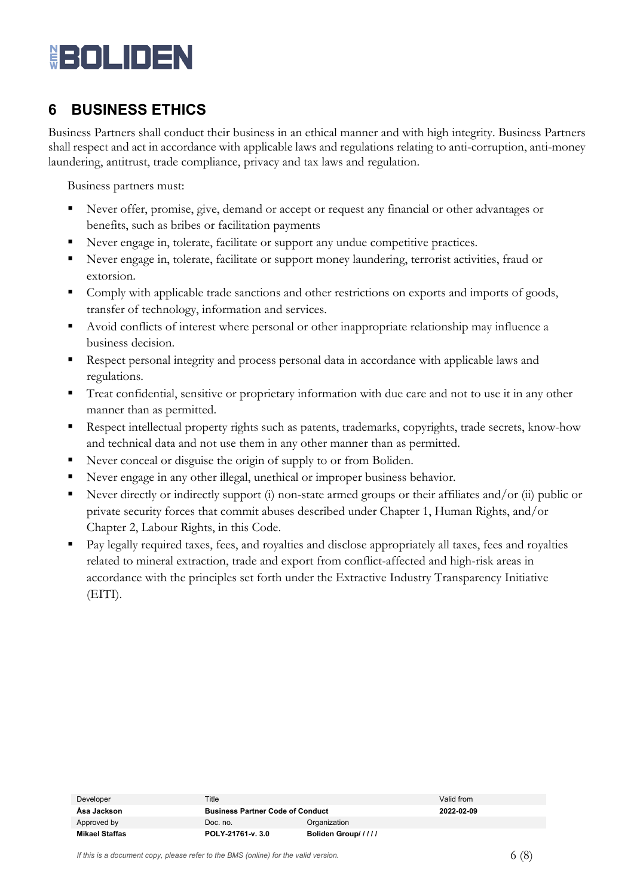# **HOLIDEN**

## **6 BUSINESS ETHICS**

Business Partners shall conduct their business in an ethical manner and with high integrity. Business Partners shall respect and act in accordance with applicable laws and regulations relating to anti-corruption, anti-money laundering, antitrust, trade compliance, privacy and tax laws and regulation.

Business partners must:

- Never offer, promise, give, demand or accept or request any financial or other advantages or benefits, such as bribes or facilitation payments
- Never engage in, tolerate, facilitate or support any undue competitive practices.
- Never engage in, tolerate, facilitate or support money laundering, terrorist activities, fraud or extorsion.
- Comply with applicable trade sanctions and other restrictions on exports and imports of goods, transfer of technology, information and services.
- Avoid conflicts of interest where personal or other inappropriate relationship may influence a business decision.
- Respect personal integrity and process personal data in accordance with applicable laws and regulations.
- Treat confidential, sensitive or proprietary information with due care and not to use it in any other manner than as permitted.
- **Respect intellectual property rights such as patents, trademarks, copyrights, trade secrets, know-how** and technical data and not use them in any other manner than as permitted.
- Never conceal or disguise the origin of supply to or from Boliden.
- Never engage in any other illegal, unethical or improper business behavior.
- Never directly or indirectly support (i) non-state armed groups or their affiliates and/or (ii) public or private security forces that commit abuses described under Chapter 1, Human Rights, and/or Chapter 2, Labour Rights, in this Code.
- Pay legally required taxes, fees, and royalties and disclose appropriately all taxes, fees and royalties related to mineral extraction, trade and export from conflict-affected and high-risk areas in accordance with the principles set forth under the Extractive Industry Transparency Initiative (EITI).

| Developer             | Title                                   |                    | Valid from |
|-----------------------|-----------------------------------------|--------------------|------------|
| Åsa Jackson           | <b>Business Partner Code of Conduct</b> |                    | 2022-02-09 |
| Approved by           | Doc. no.                                | Organization       |            |
| <b>Mikael Staffas</b> | POLY-21761-v. 3.0                       | Boliden Group///// |            |

*If this is a document copy, please refer to the BMS (online) for the valid version.*  $(6 \ 8)$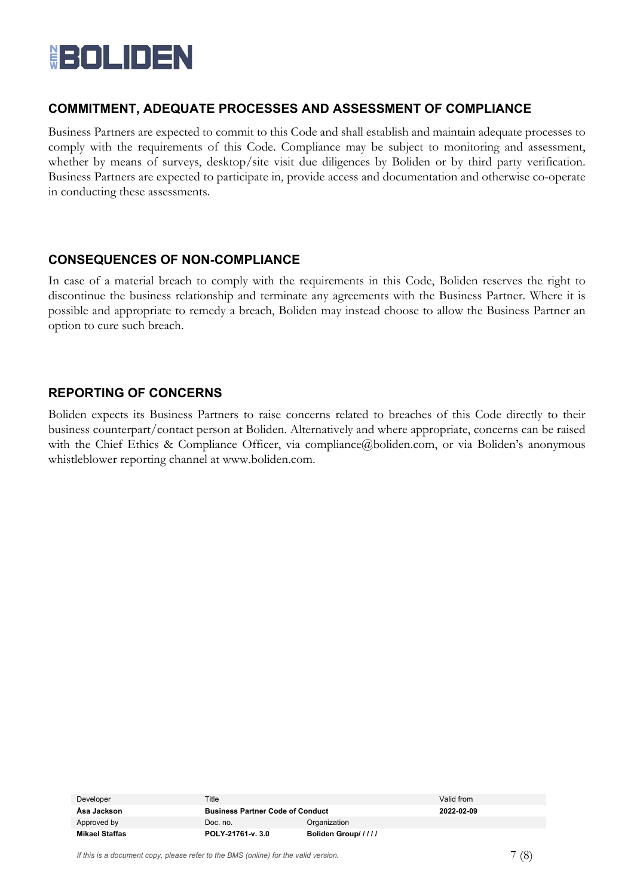

#### **COMMITMENT, ADEQUATE PROCESSES AND ASSESSMENT OF COMPLIANCE**

Business Partners are expected to commit to this Code and shall establish and maintain adequate processes to comply with the requirements of this Code. Compliance may be subject to monitoring and assessment, whether by means of surveys, desktop/site visit due diligences by Boliden or by third party verification. Business Partners are expected to participate in, provide access and documentation and otherwise co-operate in conducting these assessments.

#### **CONSEQUENCES OF NON-COMPLIANCE**

In case of a material breach to comply with the requirements in this Code, Boliden reserves the right to discontinue the business relationship and terminate any agreements with the Business Partner. Where it is possible and appropriate to remedy a breach, Boliden may instead choose to allow the Business Partner an option to cure such breach.

#### **REPORTING OF CONCERNS**

Boliden expects its Business Partners to raise concerns related to breaches of this Code directly to their business counterpart/contact person at Boliden. Alternatively and where appropriate, concerns can be raised with the Chief Ethics & Compliance Officer, via compliance@boliden.com, or via Boliden's anonymous whistleblower reporting channel at [www.boliden.com.](https://eur02.safelinks.protection.outlook.com/?url=http%3A%2F%2Fwww.boliden.com%2F&data=02%7C01%7C%7C3da0da673bc9466c6b2308d805f6bb8b%7C496a4ab1caef478f938d6551aca7fb85%7C0%7C0%7C637265904544937199&sdata=fZp5%2B6oeJEpGK5EMgfogLVqDNK6oGxQ8GJIPYI085%2F0%3D&reserved=0)

| Developer      | Title                                   |                    | Valid from |
|----------------|-----------------------------------------|--------------------|------------|
| Åsa Jackson    | <b>Business Partner Code of Conduct</b> |                    | 2022-02-09 |
| Approved by    | Organization<br>Doc. no.                |                    |            |
| Mikael Staffas | POLY-21761-v. 3.0                       | Boliden Group///// |            |